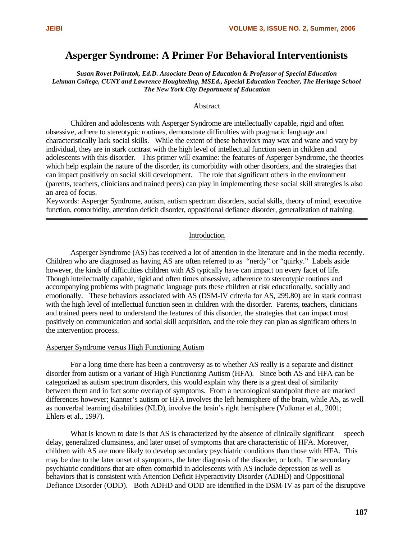# **Asperger Syndrome: A Primer For Behavioral Interventionists**

*Susan Rovet Polirstok, Ed.D. Associate Dean of Education & Professor of Special Education Lehman College, CUNY and Lawrence Houghteling, MSEd., Special Education Teacher, The Heritage School The New York City Department of Education*

#### Abstract

Children and adolescents with Asperger Syndrome are intellectually capable, rigid and often obsessive, adhere to stereotypic routines, demonstrate difficulties with pragmatic language and characteristically lack social skills. While the extent of these behaviors may wax and wane and vary by individual, they are in stark contrast with the high level of intellectual function seen in children and adolescents with this disorder. This primer will examine: the features of Asperger Syndrome, the theories which help explain the nature of the disorder, its comorbidity with other disorders, and the strategies that can impact positively on social skill development. The role that significant others in the environment (parents, teachers, clinicians and trained peers) can play in implementing these social skill strategies is also an area of focus.

Keywords: Asperger Syndrome, autism, autism spectrum disorders, social skills, theory of mind, executive function, comorbidity, attention deficit disorder, oppositional defiance disorder, generalization of training.

#### Introduction

Asperger Syndrome (AS) has received a lot of attention in the literature and in the media recently. Children who are diagnosed as having AS are often referred to as "nerdy" or "quirky." Labels aside however, the kinds of difficulties children with AS typically have can impact on every facet of life. Though intellectually capable, rigid and often times obsessive, adherence to stereotypic routines and accompanying problems with pragmatic language puts these children at risk educationally, socially and emotionally. These behaviors associated with AS (DSM-IV criteria for AS, 299.80) are in stark contrast with the high level of intellectual function seen in children with the disorder. Parents, teachers, clinicians and trained peers need to understand the features of this disorder, the strategies that can impact most positively on communication and social skill acquisition, and the role they can plan as significant others in the intervention process.

#### Asperger Syndrome versus High Functioning Autism

For a long time there has been a controversy as to whether AS really is a separate and distinct disorder from autism or a variant of High Functioning Autism (HFA). Since both AS and HFA can be categorized as autism spectrum disorders, this would explain why there is a great deal of similarity between them and in fact some overlap of symptoms. From a neurological standpoint there are marked differences however; Kanner's autism or HFA involves the left hemisphere of the brain, while AS, as well as nonverbal learning disabilities (NLD), involve the brain's right hemisphere (Volkmar et al., 2001; Ehlers et al., 1997).

What is known to date is that AS is characterized by the absence of clinically significant speech delay, generalized clumsiness, and later onset of symptoms that are characteristic of HFA. Moreover, children with AS are more likely to develop secondary psychiatric conditions than those with HFA. This may be due to the later onset of symptoms, the later diagnosis of the disorder, or both. The secondary psychiatric conditions that are often comorbid in adolescents with AS include depression as well as behaviors that is consistent with Attention Deficit Hyperactivity Disorder (ADHD) and Oppositional Defiance Disorder (ODD). Both ADHD and ODD are identified in the DSM-IV as part of the disruptive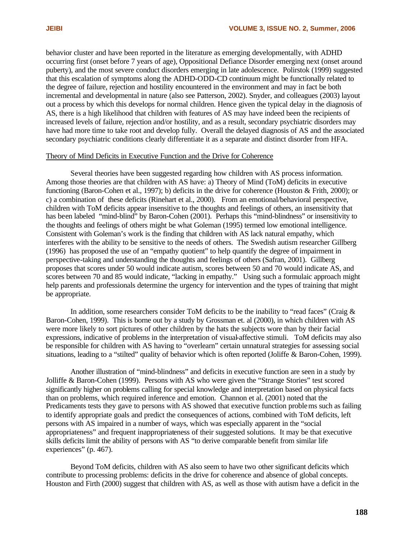behavior cluster and have been reported in the literature as emerging developmentally, with ADHD occurring first (onset before 7 years of age), Oppositional Defiance Disorder emerging next (onset around puberty), and the most severe conduct disorders emerging in late adolescence. Polirstok (1999) suggested that this escalation of symptoms along the ADHD-ODD-CD continuum might be functionally related to the degree of failure, rejection and hostility encountered in the environment and may in fact be both incremental and developmental in nature (also see Patterson, 2002). Snyder, and colleagues (2003) layout out a process by which this develops for normal children. Hence given the typical delay in the diagnosis of AS, there is a high likelihood that children with features of AS may have indeed been the recipients of increased levels of failure, rejection and/or hostility, and as a result, secondary psychiatric disorders may have had more time to take root and develop fully. Overall the delayed diagnosis of AS and the associated secondary psychiatric conditions clearly differentiate it as a separate and distinct disorder from HFA.

## Theory of Mind Deficits in Executive Function and the Drive for Coherence

Several theories have been suggested regarding how children with AS process information. Among those theories are that children with AS have: a) Theory of Mind (ToM) deficits in executive functioning (Baron-Cohen et al., 1997); b) deficits in the drive for coherence (Houston & Frith, 2000); or c) a combination of these deficits (Rinehart et al., 2000). From an emotional/behavioral perspective, children with ToM deficits appear insensitive to the thoughts and feelings of others, an insensitivity that has been labeled "mind-blind" by Baron-Cohen (2001). Perhaps this "mind-blindness" or insensitivity to the thoughts and feelings of others might be what Goleman (1995) termed low emotional intelligence. Consistent with Goleman's work is the finding that children with AS lack natural empathy, which interferes with the ability to be sensitive to the needs of others. The Swedish autism researcher Gillberg (1996) has proposed the use of an "empathy quotient" to help quantify the degree of impairment in perspective-taking and understanding the thoughts and feelings of others (Safran, 2001). Gillberg proposes that scores under 50 would indicate autism, scores between 50 and 70 would indicate AS, and scores between 70 and 85 would indicate, "lacking in empathy." Using such a formulaic approach might help parents and professionals determine the urgency for intervention and the types of training that might be appropriate.

In addition, some researchers consider ToM deficits to be the inability to "read faces" (Craig  $\&$ Baron-Cohen, 1999). This is borne out by a study by Grossman et. al (2000), in which children with AS were more likely to sort pictures of other children by the hats the subjects wore than by their facial expressions, indicative of problems in the interpretation of visual-affective stimuli. ToM deficits may also be responsible for children with AS having to "overlearn" certain unnatural strategies for assessing social situations, leading to a "stilted" quality of behavior which is often reported (Joliffe & Baron-Cohen, 1999).

Another illustration of "mind-blindness" and deficits in executive function are seen in a study by Jolliffe & Baron-Cohen (1999). Persons with AS who were given the "Strange Stories" test scored significantly higher on problems calling for special knowledge and interpretation based on physical facts than on problems, which required inference and emotion. Channon et al. (2001) noted that the Predicaments tests they gave to persons with AS showed that executive function problems such as failing to identify appropriate goals and predict the consequences of actions, combined with ToM deficits, left persons with AS impaired in a number of ways, which was especially apparent in the "social appropriateness" and frequent inappropriateness of their suggested solutions. It may be that executive skills deficits limit the ability of persons with AS "to derive comparable benefit from similar life experiences" (p. 467).

Beyond ToM deficits, children with AS also seem to have two other significant deficits which contribute to processing problems: deficits in the drive for coherence and absence of global concepts. Houston and Firth (2000) suggest that children with AS, as well as those with autism have a deficit in the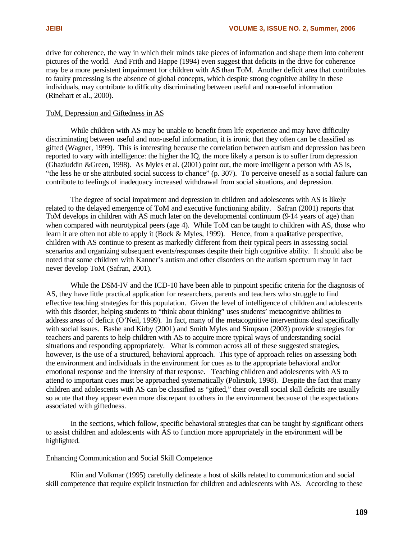drive for coherence, the way in which their minds take pieces of information and shape them into coherent pictures of the world. And Frith and Happe (1994) even suggest that deficits in the drive for coherence may be a more persistent impairment for children with AS than ToM. Another deficit area that contributes to faulty processing is the absence of global concepts, which despite strong cognitive ability in these individuals, may contribute to difficulty discriminating between useful and non-useful information (Rinehart et al., 2000).

## ToM, Depression and Giftedness in AS

While children with AS may be unable to benefit from life experience and may have difficulty discriminating between useful and non-useful information, it is ironic that they often can be classified as gifted (Wagner, 1999). This is interesting because the correlation between autism and depression has been reported to vary with intelligence: the higher the IQ, the more likely a person is to suffer from depression (Ghaziuddin &Green, 1998). As Myles et al. (2001) point out, the more intelligent a person with AS is, "the less he or she attributed social success to chance" (p. 307). To perceive oneself as a social failure can contribute to feelings of inadequacy increased withdrawal from social situations, and depression.

The degree of social impairment and depression in children and adolescents with AS is likely related to the delayed emergence of ToM and executive functioning ability. Safran (2001) reports that ToM develops in children with AS much later on the developmental continuum (9-14 years of age) than when compared with neurotypical peers (age 4). While ToM can be taught to children with AS, those who learn it are often not able to apply it (Bock & Myles, 1999). Hence, from a qualitative perspective, children with AS continue to present as markedly different from their typical peers in assessing social scenarios and organizing subsequent events/responses despite their high cognitive ability. It should also be noted that some children with Kanner's autism and other disorders on the autism spectrum may in fact never develop ToM (Safran, 2001).

While the DSM-IV and the ICD-10 have been able to pinpoint specific criteria for the diagnosis of AS, they have little practical application for researchers, parents and teachers who struggle to find effective teaching strategies for this population. Given the level of intelligence of children and adolescents with this disorder, helping students to "think about thinking" uses students' metacognitive abilities to address areas of deficit (O'Neil, 1999). In fact, many of the metacognitive interventions deal specifically with social issues. Bashe and Kirby (2001) and Smith Myles and Simpson (2003) provide strategies for teachers and parents to help children with AS to acquire more typical ways of understanding social situations and responding appropriately. What is common across all of these suggested strategies, however, is the use of a structured, behavioral approach. This type of approach relies on assessing both the environment and individuals in the environment for cues as to the appropriate behavioral and/or emotional response and the intensity of that response. Teaching children and adolescents with AS to attend to important cues must be approached systematically (Polirstok, 1998). Despite the fact that many children and adolescents with AS can be classified as "gifted," their overall social skill deficits are usually so acute that they appear even more discrepant to others in the environment because of the expectations associated with giftedness.

In the sections, which follow, specific behavioral strategies that can be taught by significant others to assist children and adolescents with AS to function more appropriately in the environment will be highlighted.

## Enhancing Communication and Social Skill Competence

Klin and Volkmar (1995) carefully delineate a host of skills related to communication and social skill competence that require explicit instruction for children and adolescents with AS. According to these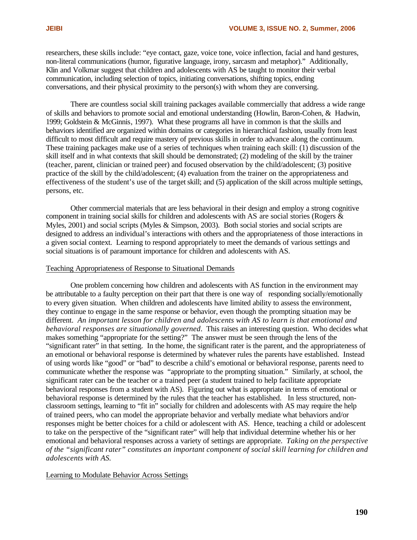researchers, these skills include: "eye contact, gaze, voice tone, voice inflection, facial and hand gestures, non-literal communications (humor, figurative language, irony, sarcasm and metaphor)." Additionally, Klin and Volkmar suggest that children and adolescents with AS be taught to monitor their verbal communication, including selection of topics, initiating conversations, shifting topics, ending conversations, and their physical proximity to the person(s) with whom they are conversing.

There are countless social skill training packages available commercially that address a wide range of skills and behaviors to promote social and emotional understanding (Howlin, Baron-Cohen, & Hadwin, 1999; Goldstein & McGinnis, 1997). What these programs all have in common is that the skills and behaviors identified are organized within domains or categories in hierarchical fashion, usually from least difficult to most difficult and require mastery of previous skills in order to advance along the continuum. These training packages make use of a series of techniques when training each skill: (1) discussion of the skill itself and in what contexts that skill should be demonstrated; (2) modeling of the skill by the trainer (teacher, parent, clinician or trained peer) and focused observation by the child/adolescent; (3) positive practice of the skill by the child/adolescent; (4) evaluation from the trainer on the appropriateness and effectiveness of the student's use of the target skill; and (5) application of the skill across multiple settings, persons, etc.

Other commercial materials that are less behavioral in their design and employ a strong cognitive component in training social skills for children and adolescents with AS are social stories (Rogers & Myles, 2001) and social scripts (Myles & Simpson, 2003). Both social stories and social scripts are designed to address an individual's interactions with others and the appropriateness of those interactions in a given social context. Learning to respond appropriately to meet the demands of various settings and social situations is of paramount importance for children and adolescents with AS.

## Teaching Appropriateness of Response to Situational Demands

One problem concerning how children and adolescents with AS function in the environment may be attributable to a faulty perception on their part that there is one way of responding socially/emotionally to every given situation. When children and adolescents have limited ability to assess the environment, they continue to engage in the same response or behavior, even though the prompting situation may be different. *An important lesson for children and adolescents with AS to learn is that emotional and behavioral responses are situationally governed*. This raises an interesting question. Who decides what makes something "appropriate for the setting?" The answer must be seen through the lens of the "significant rater" in that setting. In the home, the significant rater is the parent, and the appropriateness of an emotional or behavioral response is determined by whatever rules the parents have established. Instead of using words like "good" or "bad" to describe a child's emotional or behavioral response, parents need to communicate whether the response was "appropriate to the prompting situation." Similarly, at school, the significant rater can be the teacher or a trained peer (a student trained to help facilitate appropriate behavioral responses from a student with AS). Figuring out what is appropriate in terms of emotional or behavioral response is determined by the rules that the teacher has established. In less structured, nonclassroom settings, learning to "fit in" socially for children and adolescents with AS may require the help of trained peers, who can model the appropriate behavior and verbally mediate what behaviors and/or responses might be better choices for a child or adolescent with AS. Hence, teaching a child or adolescent to take on the perspective of the "significant rater" will help that individual determine whether his or her emotional and behavioral responses across a variety of settings are appropriate. *Taking on the perspective of the "significant rater" constitutes an important component of social skill learning for children and adolescents with AS.* 

#### Learning to Modulate Behavior Across Settings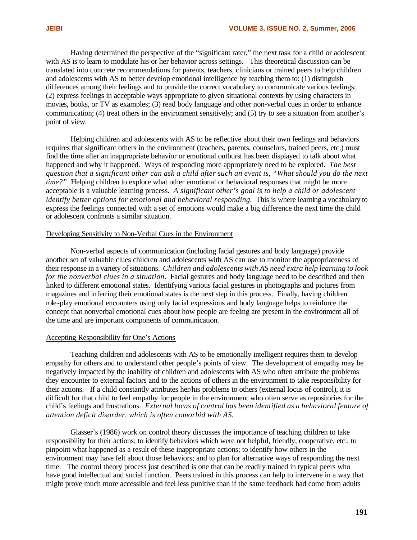Having determined the perspective of the "significant rater," the next task for a child or adolescent with AS is to learn to modulate his or her behavior across settings. This theoretical discussion can be translated into concrete recommendations for parents, teachers, clinicians or trained peers to help children and adolescents with AS to better develop emotional intelligence by teaching them to: (1) distinguish differences among their feelings and to provide the correct vocabulary to communicate various feelings; (2) express feelings in acceptable ways appropriate to given situational contexts by using characters in movies, books, or TV as examples; (3) read body language and other non-verbal cues in order to enhance communication; (4) treat others in the environment sensitively; and (5) try to see a situation from another's point of view.

Helping children and adolescents with AS to be reflective about their own feelings and behaviors requires that significant others in the environment (teachers, parents, counselors, trained peers, etc.) must find the time after an inappropriate behavior or emotional outburst has been displayed to talk about what happened and why it happened. Ways of responding more appropriately need to be explored. *The best question that a significant other can ask a child after such an event is, "What should you do the next time?"* Helping children to explore what other emotional or behavioral responses that might be more acceptable is a valuable learning process. *A significant other's goal is to help a child or adolescent identify better options for emotional and behavioral responding.* This is where learning a vocabulary to express the feelings connected with a set of emotions would make a big difference the next time the child or adolescent confronts a similar situation.

## Developing Sensitivity to Non-Verbal Cues in the Environment

Non-verbal aspects of communication (including facial gestures and body language) provide another set of valuable clues children and adolescents with AS can use to monitor the appropriateness of their response in a variety of situations. *Children and adolescents with AS need extra help learning to look for the nonverbal clues in a situation*. Facial gestures and body language need to be described and then linked to different emotional states. Identifying various facial gestures in photographs and pictures from magazines and inferring their emotional states is the next step in this process. Finally, having children role-play emotional encounters using only facial expressions and body language helps to reinforce the concept that nonverbal emotional cues about how people are feeling are present in the environment all of the time and are important components of communication.

## Accepting Responsibility for One's Actions

Teaching children and adolescents with AS to be emotionally intelligent requires them to develop empathy for others and to understand other people's points of view. The development of empathy may be negatively impacted by the inability of children and adolescents with AS who often attribute the problems they encounter to external factors and to the actions of others in the environment to take responsibility for their actions. If a child constantly attributes her/his problems to others (external locus of control), it is difficult for that child to feel empathy for people in the environment who often serve as repositories for the child's feelings and frustrations. *External locus of control has been identified as a behavioral feature of attention deficit disorder, which is often comorbid with AS.*

Glasser's (1986) work on control theory discusses the importance of teaching children to take responsibility for their actions; to identify behaviors which were not helpful, friendly, cooperative, etc.; to pinpoint what happened as a result of these inappropriate actions; to identify how others in the environment may have felt about those behaviors; and to plan for alternative ways of responding the next time. The control theory process just described is one that can be readily trained in typical peers who have good intellectual and social function. Peers trained in this process can help to intervene in a way that might prove much more accessible and feel less punitive than if the same feedback had come from adults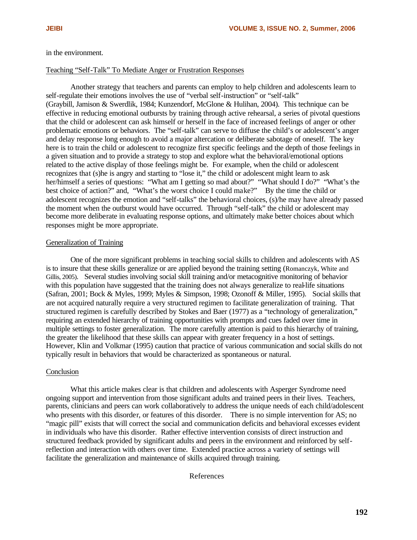## in the environment.

#### Teaching "Self-Talk" To Mediate Anger or Frustration Responses

Another strategy that teachers and parents can employ to help children and adolescents learn to self-regulate their emotions involves the use of "verbal self-instruction" or "self-talk" (Graybill, Jamison & Swerdlik, 1984; Kunzendorf, McGlone & Hulihan, 2004). This technique can be effective in reducing emotional outbursts by training through active rehearsal, a series of pivotal questions that the child or adolescent can ask himself or herself in the face of increased feelings of anger or other problematic emotions or behaviors. The "self-talk" can serve to diffuse the child's or adolescent's anger and delay response long enough to avoid a major altercation or deliberate sabotage of oneself. The key here is to train the child or adolescent to recognize first specific feelings and the depth of those feelings in a given situation and to provide a strategy to stop and explore what the behavioral/emotional options related to the active display of those feelings might be. For example, when the child or adolescent recognizes that (s)he is angry and starting to "lose it," the child or adolescent might learn to ask her/himself a series of questions: "What am I getting so mad about?" "What should I do?" "What's the best choice of action?" and, "What's the worst choice I could make?" By the time the child or adolescent recognizes the emotion and "self-talks" the behavioral choices, (s)/he may have already passed the moment when the outburst would have occurred. Through "self-talk" the child or adolescent may become more deliberate in evaluating response options, and ultimately make better choices about which responses might be more appropriate.

#### Generalization of Training

One of the more significant problems in teaching social skills to children and adolescents with AS is to insure that these skills generalize or are applied beyond the training setting (Romanczyk, White and Gillis, 2005). Several studies involving social skill training and/or metacognitive monitoring of behavior with this population have suggested that the training does not always generalize to real-life situations (Safran, 2001; Bock & Myles, 1999; Myles & Simpson, 1998; Ozonoff & Miller, 1995). Social skills that are not acquired naturally require a very structured regimen to facilitate generalization of training. That structured regimen is carefully described by Stokes and Baer (1977) as a "technology of generalization," requiring an extended hierarchy of training opportunities with prompts and cues faded over time in multiple settings to foster generalization. The more carefully attention is paid to this hierarchy of training, the greater the likelihood that these skills can appear with greater frequency in a host of settings. However, Klin and Volkmar (1995) caution that practice of various communication and social skills do not typically result in behaviors that would be characterized as spontaneous or natural.

#### **Conclusion**

What this article makes clear is that children and adolescents with Asperger Syndrome need ongoing support and intervention from those significant adults and trained peers in their lives. Teachers, parents, clinicians and peers can work collaboratively to address the unique needs of each child/adolescent who presents with this disorder, or features of this disorder. There is no simple intervention for AS; no "magic pill" exists that will correct the social and communication deficits and behavioral excesses evident in individuals who have this disorder. Rather effective intervention consists of direct instruction and structured feedback provided by significant adults and peers in the environment and reinforced by selfreflection and interaction with others over time. Extended practice across a variety of settings will facilitate the generalization and maintenance of skills acquired through training.

## References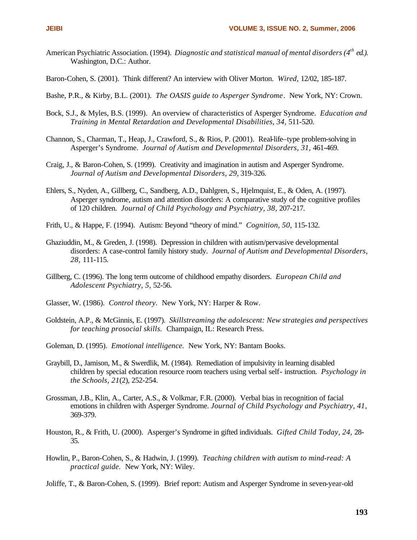- American Psychiatric Association. (1994). *Diagnostic and statistical manual of mental disorders (4th ed.).*  Washington, D.C.: Author.
- Baron-Cohen, S. (2001). Think different? An interview with Oliver Morton. *Wired,* 12/02, 185-187.
- Bashe, P.R., & Kirby, B.L. (2001). *The OASIS guide to Asperger Syndrome*. New York, NY: Crown.
- Bock, S.J., & Myles, B.S. (1999). An overview of characteristics of Asperger Syndrome. *Education and Training in Mental Retardation and Developmental Disabilities, 34,* 511-520.
- Channon, S., Charman, T., Heap, J., Crawford, S., & Rios, P. (2001). Real-life–type problem-solving in Asperger's Syndrome. *Journal of Autism and Developmental Disorders, 31,* 461-469.
- Craig, J., & Baron-Cohen, S. (1999). Creativity and imagination in autism and Asperger Syndrome. *Journal of Autism and Developmental Disorders, 29,* 319-326.
- Ehlers, S., Nyden, A., Gillberg, C., Sandberg, A.D., Dahlgren, S., Hjelmquist, E., & Oden, A. (1997). Asperger syndrome, autism and attention disorders: A comparative study of the cognitive profiles of 120 children. *Journal of Child Psychology and Psychiatry, 38,* 207-217.
- Frith, U., & Happe, F. (1994). Autism: Beyond "theory of mind." *Cognition, 50,* 115-132.
- Ghaziuddin, M., & Greden, J. (1998). Depression in children with autism/pervasive developmental disorders: A case-control family history study. *Journal of Autism and Developmental Disorders, 28,* 111-115.
- Gillberg, C. (1996). The long term outcome of childhood empathy disorders. *European Child and Adolescent Psychiatry, 5,* 52-56.
- Glasser, W. (1986). *Control theory.* New York, NY: Harper & Row.
- Goldstein, A.P., & McGinnis, E. (1997). *Skillstreaming the adolescent: New strategies and perspectives for teaching prosocial skills.* Champaign, IL: Research Press.
- Goleman, D. (1995). *Emotional intelligence.* New York, NY: Bantam Books.
- Graybill, D., Jamison, M., & Swerdlik, M. (1984). Remediation of impulsivity in learning disabled children by special education resource room teachers using verbal self- instruction. *Psychology in the Schools, 21*(2), 252-254.
- Grossman, J.B., Klin, A., Carter, A.S., & Volkmar, F.R. (2000). Verbal bias in recognition of facial emotions in children with Asperger Syndrome. *Journal of Child Psychology and Psychiatry, 41,*  369-379.
- Houston, R., & Frith, U. (2000). Asperger's Syndrome in gifted individuals. *Gifted Child Today, 24,* 28- 35.
- Howlin, P., Baron-Cohen, S., & Hadwin, J. (1999). *Teaching children with autism to mind-read: A practical guide.* New York, NY: Wiley.
- Joliffe, T., & Baron-Cohen, S. (1999). Brief report: Autism and Asperger Syndrome in seven-year-old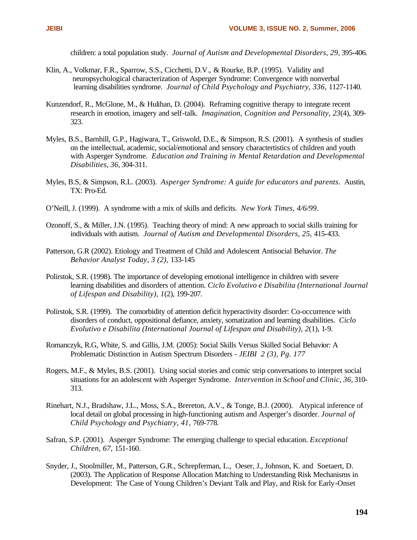children: a total population study. *Journal of Autism and Developmental Disorders, 29,* 395-406.

- Klin, A., Volkmar, F.R., Sparrow, S.S., Cicchetti, D.V., & Rourke, B.P. (1995). Validity and neuropsychological characterization of Asperger Syndrome: Convergence with nonverbal learning disabilities syndrome. *Journal of Child Psychology and Psychiatry, 336,* 1127-1140.
- Kunzendorf, R., McGlone, M., & Hulihan, D. (2004). Reframing cognitive therapy to integrate recent research in emotion, imagery and self-talk. *Imagination, Cognition and Personality, 23*(4), 309- 323.
- Myles, B.S., Barnhill, G.P., Hagiwara, T., Griswold, D.E., & Simpson, R.S. (2001). A synthesis of studies on the intellectual, academic, social/emotional and sensory charactertistics of children and youth with Asperger Syndrome. *Education and Training in Mental Retardation and Developmental Disabilities, 36,* 304-311.
- Myles, B.S, & Simpson, R.L. (2003). *Asperger Syndrome: A guide for educators and parents.* Austin, TX: Pro-Ed.
- O'Neill, J. (1999). A syndrome with a mix of skills and deficits. *New York Times, 4/6/99.*
- Ozonoff, S., & Miller, J.N. (1995). Teaching theory of mind: A new approach to social skills training for individuals with autism. *Journal of Autism and Developmental Disorders, 25,* 415-433.
- Patterson, G.R (2002). Etiology and Treatment of Child and Adolescent Antisocial Behavior. *The Behavior Analyst Today, 3 (2),* 133-145
- Polirstok, S.R. (1998). The importance of developing emotional intelligence in children with severe learning disabilities and disorders of attention. *Ciclo Evolutivo e Disabilita (International Journal of Lifespan and Disability), 1*(2), 199-207.
- Polirstok, S.R. (1999). The comorbidity of attention deficit hyperactivity disorder: Co-occurrence with disorders of conduct, oppositional defiance, anxiety, somatization and learning disabilities. *Ciclo Evolutivo e Disabilita (International Journal of Lifespan and Disability), 2*(1), 1-9.
- Romanczyk, R.G, White, S. and Gillis, J.M. (2005): Social Skills Versus Skilled Social Behavior: A Problematic Distinction in Autism Spectrum Disorders - *JEIBI 2 (3), Pg. 177*
- Rogers, M.F., & Myles, B.S. (2001). Using social stories and comic strip conversations to interpret social situations for an adolescent with Asperger Syndrome. *Intervention in School and Clinic, 36,* 310- 313.
- Rinehart, N.J., Bradshaw, J.L., Moss, S.A., Brereton, A.V., & Tonge, B.J. (2000). Atypical inference of local detail on global processing in high-functioning autism and Asperger's disorder. *Journal of Child Psychology and Psychiatry, 41,* 769-778.
- Safran, S.P. (2001). Asperger Syndrome: The emerging challenge to special education. *Exceptional Children, 67,* 151-160.
- Snyder, J., Stoolmiller, M., Patterson, G.R., Schrepferman, L., Oeser, J., Johnson, K. and Soetaert, D. (2003). The Application of Response Allocation Matching to Understanding Risk Mechanisms in Development: The Case of Young Children's Deviant Talk and Play, and Risk for Early-Onset